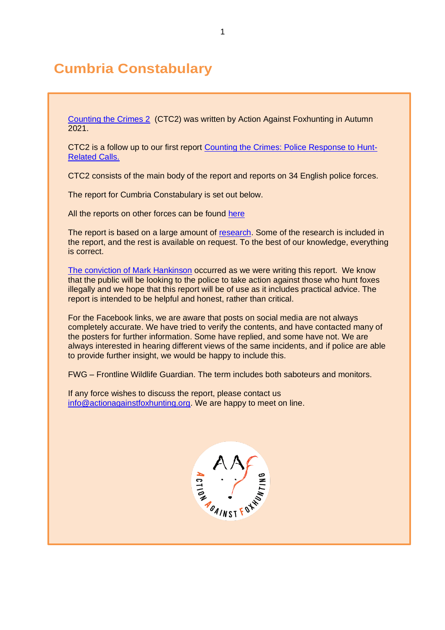# **Cumbria Constabulary**

[Counting the Crimes 2](https://www.actionagainstfoxhunting.org/counting-the-crimes2-the-police-response/) (CTC2) was written by Action Against Foxhunting in Autumn 2021.

CTC2 is a follow up to our first report [Counting the Crimes: Police Response to Hunt-](https://www.actionagainstfoxhunting.org/counting-the-crimes/)[Related Calls.](https://www.actionagainstfoxhunting.org/counting-the-crimes/)

CTC2 consists of the main body of the report and reports on 34 English police forces.

The report for Cumbria Constabulary is set out below.

All the reports on other forces can be found [here](https://www.actionagainstfoxhunting.org/counting-the-crimes2-the-police-response/)

The report is based on a large amount of [research.](https://www.actionagainstfoxhunting.org/wp-content/uploads/2021/11/A-1411-Research-for-CTC2.pdf) Some of the research is included in the report, and the rest is available on request. To the best of our knowledge, everything is correct.

[The conviction of Mark Hankinson](https://www.league.org.uk/news-and-resources/news/hunting-office-webinars-the-road-to-conviction/) occurred as we were writing this report. We know that the public will be looking to the police to take action against those who hunt foxes illegally and we hope that this report will be of use as it includes practical advice. The report is intended to be helpful and honest, rather than critical.

For the Facebook links, we are aware that posts on social media are not always completely accurate. We have tried to verify the contents, and have contacted many of the posters for further information. Some have replied, and some have not. We are always interested in hearing different views of the same incidents, and if police are able to provide further insight, we would be happy to include this.

FWG – Frontline Wildlife Guardian. The term includes both saboteurs and monitors.

If any force wishes to discuss the report, please contact us [info@actionagainstfoxhunting.org.](mailto:info@actionagainstfoxhunting.org) We are happy to meet on line.

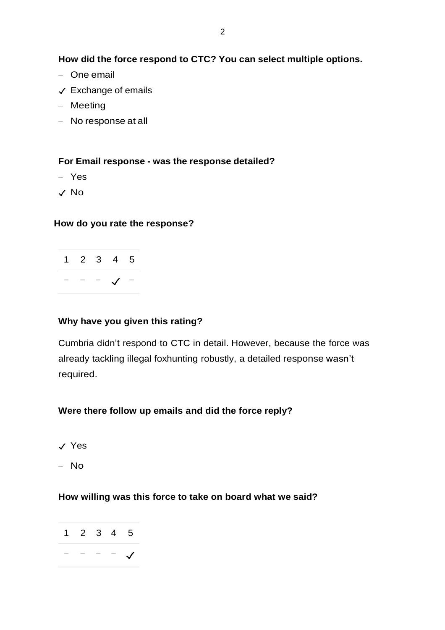**How did the force respond to CTC? You can select multiple options.**

- One email
- ✓ Exchange of emails
- Meeting
- No response at all

#### **For Email response - was the response detailed?**

- Yes
- ✓ No

#### **How do you rate the response?**

|                                   | $1 \t2 \t3 \t4 \t5$ |  |
|-----------------------------------|---------------------|--|
| the company's company's company's |                     |  |

#### **Why have you given this rating?**

Cumbria didn't respond to CTC in detail. However, because the force was already tackling illegal foxhunting robustly, a detailed response wasn't required.

### **Were there follow up emails and did the force reply?**

- ✓ Yes
- No

#### **How willing was this force to take on board what we said?**

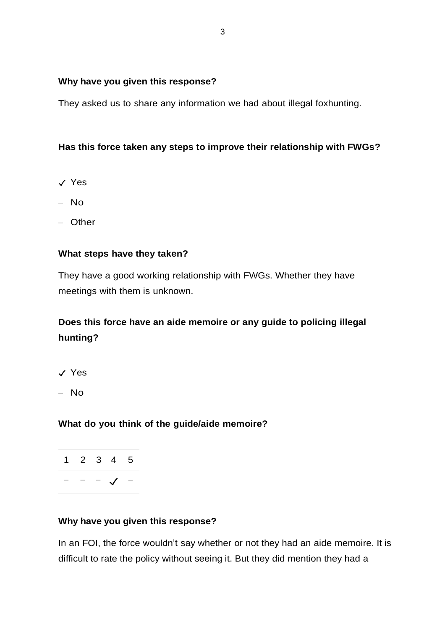#### **Why have you given this response?**

They asked us to share any information we had about illegal foxhunting.

## **Has this force taken any steps to improve their relationship with FWGs?**

- ✓ Yes
- No
- Other

### **What steps have they taken?**

They have a good working relationship with FWGs. Whether they have meetings with them is unknown.

# **Does this force have an aide memoire or any guide to policing illegal hunting?**

- ✓ Yes
- No

### **What do you think of the guide/aide memoire?**

1 2 3 4 5 − − − ✓ −

### **Why have you given this response?**

In an FOI, the force wouldn't say whether or not they had an aide memoire. It is difficult to rate the policy without seeing it. But they did mention they had a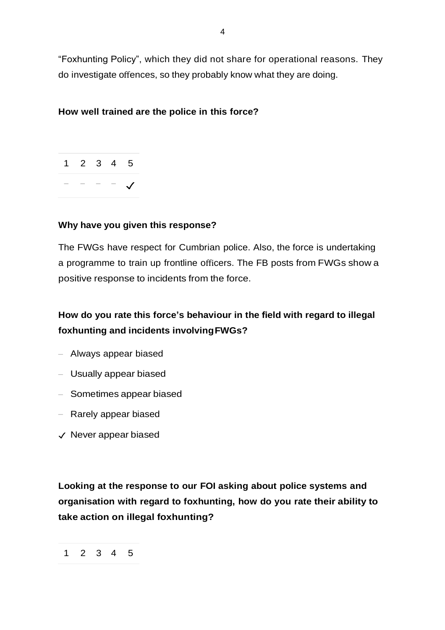"Foxhunting Policy", which they did not share for operational reasons. They do investigate offences, so they probably know what they are doing.

4

### **How well trained are the police in this force?**



### **Why have you given this response?**

The FWGs have respect for Cumbrian police. Also, the force is undertaking a programme to train up frontline officers. The FB posts from FWGs show a positive response to incidents from the force.

# **How do you rate this force's behaviour in the field with regard to illegal foxhunting and incidents involvingFWGs?**

- Always appear biased
- Usually appear biased
- Sometimes appear biased
- Rarely appear biased
- ✓ Never appear biased

**Looking at the response to our FOI asking about police systems and organisation with regard to foxhunting, how do you rate their ability to take action on illegal foxhunting?**

<sup>1</sup> 2 3 4 5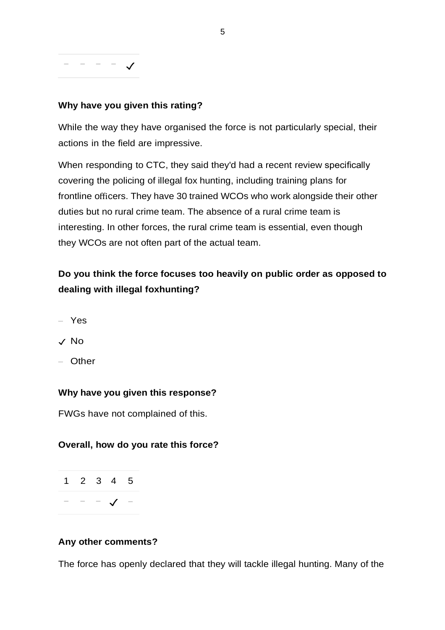# − − − − ✓

## **Why have you given this rating?**

While the way they have organised the force is not particularly special, their actions in the field are impressive.

When responding to CTC, they said they'd had a recent review specifically covering the policing of illegal fox hunting, including training plans for frontline officers. They have 30 trained WCOs who work alongside their other duties but no rural crime team. The absence of a rural crime team is interesting. In other forces, the rural crime team is essential, even though they WCOs are not often part of the actual team.

# **Do you think the force focuses too heavily on public order as opposed to dealing with illegal foxhunting?**

- Yes
- ✓ No
- Other

### **Why have you given this response?**

FWGs have not complained of this.

### **Overall, how do you rate this force?**



#### **Any other comments?**

The force has openly declared that they will tackle illegal hunting. Many of the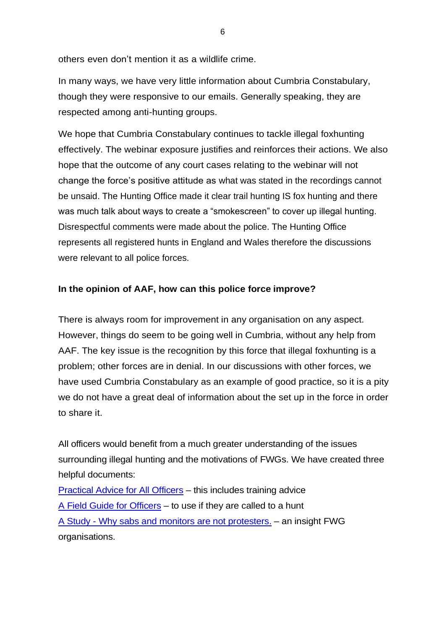others even don't mention it as a wildlife crime.

In many ways, we have very little information about Cumbria Constabulary, though they were responsive to our emails. Generally speaking, they are respected among anti-hunting groups.

We hope that Cumbria Constabulary continues to tackle illegal foxhunting effectively. The webinar exposure justifies and reinforces their actions. We also hope that the outcome of any court cases relating to the webinar will not change the force's positive attitude as what was stated in the recordings cannot be unsaid. The Hunting Office made it clear trail hunting IS fox hunting and there was much talk about ways to create a "smokescreen" to cover up illegal hunting. Disrespectful comments were made about the police. The Hunting Office represents all registered hunts in England and Wales therefore the discussions were relevant to all police forces.

### **In the opinion of AAF, how can this police force improve?**

There is always room for improvement in any organisation on any aspect. However, things do seem to be going well in Cumbria, without any help from AAF. The key issue is the recognition by this force that illegal foxhunting is a problem; other forces are in denial. In our discussions with other forces, we have used Cumbria Constabulary as an example of good practice, so it is a pity we do not have a great deal of information about the set up in the force in order to share it.

All officers would benefit from a much greater understanding of the issues surrounding illegal hunting and the motivations of FWGs. We have created three helpful documents:

[Practical Advice for All Officers](https://www.actionagainstfoxhunting.org/wp-content/uploads/2021/11/B-1411-Practical-Advice-for-all-Police-Forces.pdf) – this includes training advice [A Field Guide for Officers](https://www.actionagainstfoxhunting.org/wp-content/uploads/2021/11/A-1411-FIELD-GUIDE-ILLEGAL-FOXHUNTING.pdf) – to use if they are called to a hunt A Study - [Why sabs and monitors are not protesters.](https://www.actionagainstfoxhunting.org/wp-content/uploads/2021/11/A-1411-Why-sabs-and-monitors-arent-protesters.pdf) – an insight FWG organisations.

6